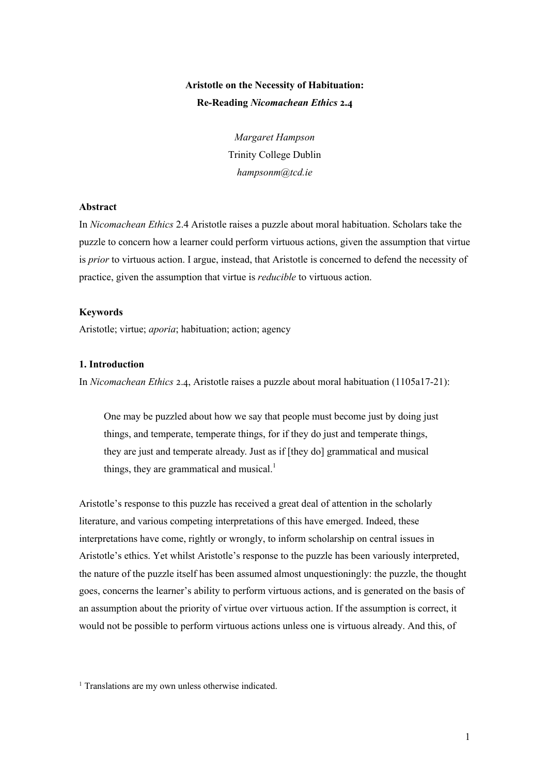# **Aristotle on the Necessity of Habituation: Re-Reading** *Nicomachean Ethics* **2.4**

*Margaret Hampson* Trinity College Dublin *hampsonm@tcd.ie*

## **Abstract**

In *Nicomachean Ethics* 2.4 Aristotle raises a puzzle about moral habituation. Scholars take the puzzle to concern how a learner could perform virtuous actions, given the assumption that virtue is *prior* to virtuous action. I argue, instead, that Aristotle is concerned to defend the necessity of practice, given the assumption that virtue is *reducible* to virtuous action.

#### **Keywords**

Aristotle; virtue; *aporia*; habituation; action; agency

#### **1. Introduction**

In *Nicomachean Ethics* 2.4, Aristotle raises a puzzle about moral habituation (1105a17-21):

One may be puzzled about how we say that people must become just by doing just things, and temperate, temperate things, for if they do just and temperate things, they are just and temperate already. Just as if [they do] grammatical and musical things, they are grammatical and musical.<sup>1</sup>

Aristotle's response to this puzzle has received a great deal of attention in the scholarly literature, and various competing interpretations of this have emerged. Indeed, these interpretations have come, rightly or wrongly, to inform scholarship on central issues in Aristotle's ethics. Yet whilst Aristotle's response to the puzzle has been variously interpreted, the nature of the puzzle itself has been assumed almost unquestioningly: the puzzle, the thought goes, concerns the learner's ability to perform virtuous actions, and is generated on the basis of an assumption about the priority of virtue over virtuous action. If the assumption is correct, it would not be possible to perform virtuous actions unless one is virtuous already. And this, of

<sup>&</sup>lt;sup>1</sup> Translations are my own unless otherwise indicated.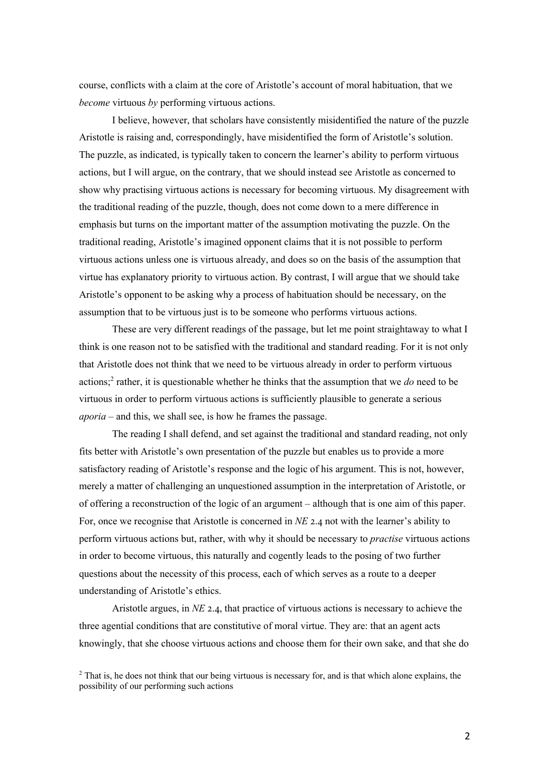course, conflicts with a claim at the core of Aristotle's account of moral habituation, that we *become* virtuous *by* performing virtuous actions.

I believe, however, that scholars have consistently misidentified the nature of the puzzle Aristotle is raising and, correspondingly, have misidentified the form of Aristotle's solution. The puzzle, as indicated, is typically taken to concern the learner's ability to perform virtuous actions, but I will argue, on the contrary, that we should instead see Aristotle as concerned to show why practising virtuous actions is necessary for becoming virtuous. My disagreement with the traditional reading of the puzzle, though, does not come down to a mere difference in emphasis but turns on the important matter of the assumption motivating the puzzle. On the traditional reading, Aristotle's imagined opponent claims that it is not possible to perform virtuous actions unless one is virtuous already, and does so on the basis of the assumption that virtue has explanatory priority to virtuous action. By contrast, I will argue that we should take Aristotle's opponent to be asking why a process of habituation should be necessary, on the assumption that to be virtuous just is to be someone who performs virtuous actions.

These are very different readings of the passage, but let me point straightaway to what I think is one reason not to be satisfied with the traditional and standard reading. For it is not only that Aristotle does not think that we need to be virtuous already in order to perform virtuous actions;<sup>2</sup> rather, it is questionable whether he thinks that the assumption that we *do* need to be virtuous in order to perform virtuous actions is sufficiently plausible to generate a serious *aporia* – and this, we shall see, is how he frames the passage.

The reading I shall defend, and set against the traditional and standard reading, not only fits better with Aristotle's own presentation of the puzzle but enables us to provide a more satisfactory reading of Aristotle's response and the logic of his argument. This is not, however, merely a matter of challenging an unquestioned assumption in the interpretation of Aristotle, or of offering a reconstruction of the logic of an argument – although that is one aim of this paper. For, once we recognise that Aristotle is concerned in *NE* 2.4 not with the learner's ability to perform virtuous actions but, rather, with why it should be necessary to *practise* virtuous actions in order to become virtuous, this naturally and cogently leads to the posing of two further questions about the necessity of this process, each of which serves as a route to a deeper understanding of Aristotle's ethics.

Aristotle argues, in  $NE$  2.4, that practice of virtuous actions is necessary to achieve the three agential conditions that are constitutive of moral virtue. They are: that an agent acts knowingly, that she choose virtuous actions and choose them for their own sake, and that she do

<sup>&</sup>lt;sup>2</sup> That is, he does not think that our being virtuous is necessary for, and is that which alone explains, the possibility of our performing such actions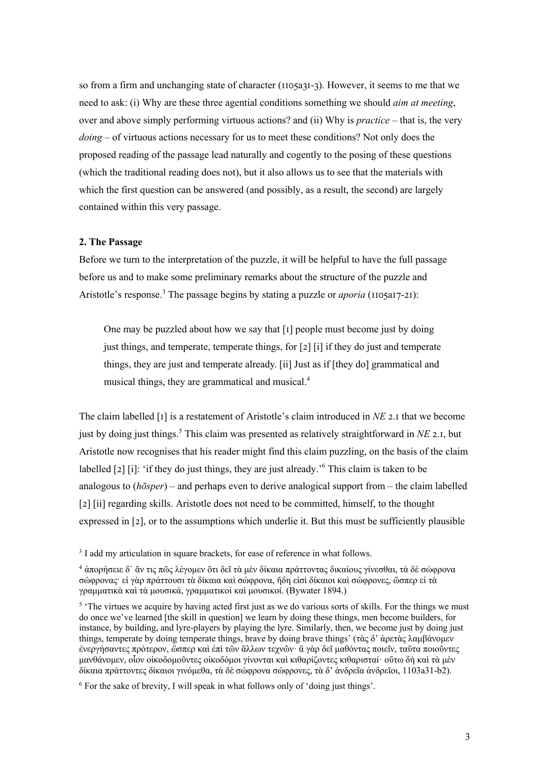so from a firm and unchanging state of character ( $\{10\}$ a $\{31-3\}$ ). However, it seems to me that we need to ask: (i) Why are these three agential conditions something we should *aim at meeting*, over and above simply performing virtuous actions? and (ii) Why is *practice* – that is, the very *doing* – of virtuous actions necessary for us to meet these conditions? Not only does the proposed reading of the passage lead naturally and cogently to the posing of these questions (which the traditional reading does not), but it also allows us to see that the materials with which the first question can be answered (and possibly, as a result, the second) are largely contained within this very passage.

#### **2. The Passage**

Before we turn to the interpretation of the puzzle, it will be helpful to have the full passage before us and to make some preliminary remarks about the structure of the puzzle and Aristotle's response.<sup>3</sup> The passage begins by stating a puzzle or *aporia* ( $\text{1105a17-21}$ ):

One may be puzzled about how we say that  $\lceil \cdot \rceil$  people must become just by doing just things, and temperate, temperate things, for  $\lceil 2 \rceil$  ii if they do just and temperate things, they are just and temperate already. [ii] Just as if [they do] grammatical and musical things, they are grammatical and musical.4

The claim labelled  $\lceil \mathbf{I} \rceil$  is a restatement of Aristotle's claim introduced in *NE* 2.1 that we become just by doing just things.<sup>5</sup> This claim was presented as relatively straightforward in *NE* 2.1, but Aristotle now recognises that his reader might find this claim puzzling, on the basis of the claim labelled  $\lceil 2 \rceil$  [i]: 'if they do just things, they are just already.'<sup>6</sup> This claim is taken to be analogous to (*hōsper*) – and perhaps even to derive analogical support from – the claim labelled [2] [ii] regarding skills. Aristotle does not need to be committed, himself, to the thought expressed in  $[2]$ , or to the assumptions which underlie it. But this must be sufficiently plausible

<sup>&</sup>lt;sup>3</sup> I add my articulation in square brackets, for ease of reference in what follows.

<sup>4</sup> ἀπορήσειε δ᾽ ἄν τις πῶς λέγομεν ὅτι δεῖ τὰ μὲν δίκαια πράττοντας δικαίους γίνεσθαι, τὰ δὲ σώφρονα σώφρονας· εἰ γὰρ πράττουσι τὰ δίκαια καὶ σώφρονα, ἤδη εἰσὶ δίκαιοι καὶ σώφρονες, ὥσπερ εἰ τὰ γραμματικὰ καὶ τὰ μουσικά, γραμματικοὶ καὶ μουσικοί. (Bywater 1894.)

<sup>&</sup>lt;sup>5</sup> 'The virtues we acquire by having acted first just as we do various sorts of skills. For the things we must do once we've learned [the skill in question] we learn by doing these things, men become builders, for instance, by building, and lyre-players by playing the lyre. Similarly, then, we become just by doing just things, temperate by doing temperate things, brave by doing brave things' (τὰς δ' ἀρετὰς λαμβάνομεν ἐνεργήσαντες πρότερον, ὥσπερ καὶ ἐπὶ τῶν ἄλλων τεχνῶν· ἃ γὰρ δεῖ μαθόντας ποιεῖν, ταῦτα ποιοῦντες μανθάνομεν, οἷον οἰκοδομοῦντες οἰκοδόμοι γίνονται καὶ κιθαρίζοντες κιθαρισταί· οὕτω δὴ καὶ τὰ μὲν δίκαια πράττοντες δίκαιοι γινόμεθα, τὰ δὲ σώφρονα σώφρονες, τὰ δ' ἀνδρεῖα ἀνδρεῖοι, 1103a31-b2).

<sup>6</sup> For the sake of brevity, I will speak in what follows only of 'doing just things'.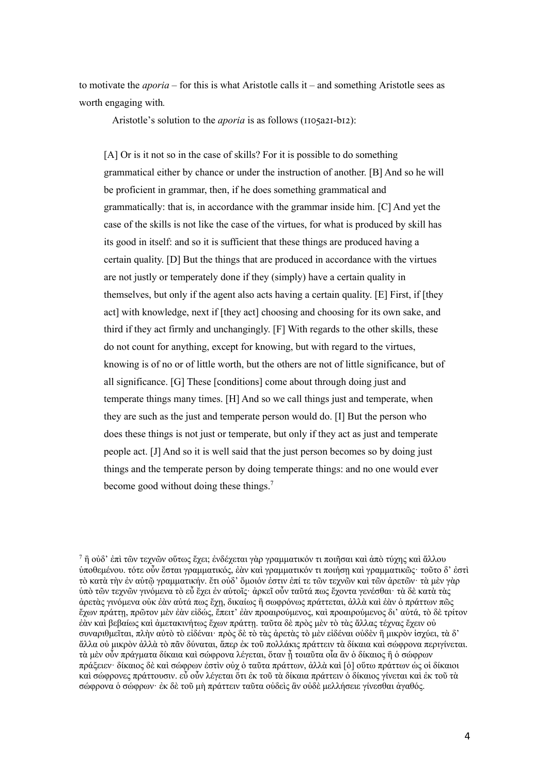to motivate the *aporia* – for this is what Aristotle calls it – and something Aristotle sees as worth engaging with*.* 

Aristotle's solution to the *aporia* is as follows ( $\text{1105a21-b12}$ ):

[A] Or is it not so in the case of skills? For it is possible to do something grammatical either by chance or under the instruction of another. [B] And so he will be proficient in grammar, then, if he does something grammatical and grammatically: that is, in accordance with the grammar inside him. [C] And yet the case of the skills is not like the case of the virtues, for what is produced by skill has its good in itself: and so it is sufficient that these things are produced having a certain quality. [D] But the things that are produced in accordance with the virtues are not justly or temperately done if they (simply) have a certain quality in themselves, but only if the agent also acts having a certain quality. [E] First, if [they act] with knowledge, next if [they act] choosing and choosing for its own sake, and third if they act firmly and unchangingly. [F] With regards to the other skills, these do not count for anything, except for knowing, but with regard to the virtues, knowing is of no or of little worth, but the others are not of little significance, but of all significance. [G] These [conditions] come about through doing just and temperate things many times. [H] And so we call things just and temperate, when they are such as the just and temperate person would do. [I] But the person who does these things is not just or temperate, but only if they act as just and temperate people act. [J] And so it is well said that the just person becomes so by doing just things and the temperate person by doing temperate things: and no one would ever become good without doing these things.<sup>7</sup>

 $^7$  ἢ οὐδ' ἐπὶ τῶν τεγνῶν οὕτως ἔγει; ἐνδέγεται γὰρ γραμματικόν τι ποιῆσαι καὶ ἀπὸ τύγης καὶ ἄλλου ὑποθεμένου. τότε οὖν ἔσται γραμματικός, ἐὰν καὶ γραμματικόν τι ποιήσῃ καὶ γραμματικῶς· τοῦτο δ' ἐστὶ τὸ κατὰ τὴν ἐν αὑτῷ γραμματικήν. ἔτι οὐδ' ὅμοιόν ἐστιν ἐπί τε τῶν τεχνῶν καὶ τῶν ἀρετῶν· τὰ μὲν γὰρ ὑπὸ τῶν τεχνῶν γινόμενα τὸ εὖ ἔχει ἐν αὑτοῖς· ἀρκεῖ οὖν ταῦτά πως ἔχοντα γενέσθαι· τὰ δὲ κατὰ τὰς ἀρετὰς γινόμενα οὐκ ἐὰν αὐτά πως ἔχῃ, δικαίως ἢ σωφρόνως πράττεται, ἀλλὰ καὶ ἐὰν ὁ πράττων πῶς ἔχων πράττῃ, πρῶτον μὲν ἐὰν εἰδώς, ἔπειτ' ἐὰν προαιρούμενος, καὶ προαιρούμενος δι' αὐτά, τὸ δὲ τρίτον ἐὰν καὶ βεβαίως καὶ ἀμετακινήτως ἔχων πράττῃ. ταῦτα δὲ πρὸς μὲν τὸ τὰς ἄλλας τέχνας ἔχειν οὐ συναριθμεῖται, πλὴν αὐτὸ τὸ εἰδέναι· πρὸς δὲ τὸ τὰς ἀρετὰς τὸ μὲν εἰδέναι οὐδὲν ἢ μικρὸν ἰσχύει, τὰ δ' ἄλλα οὐ μικρὸν ἀλλὰ τὸ πᾶν δύναται, ἅπερ ἐκ τοῦ πολλάκις πράττειν τὰ δίκαια καὶ σώφρονα περιγίνεται. τὰ μὲν οὖν πράγματα δίκαια καὶ σώφρονα λέγεται, ὅταν ᾖ τοιαῦτα οἷα ἂν ὁ δίκαιος ἢ ὁ σώφρων πράξειεν· δίκαιος δὲ καὶ σώφρων ἐστὶν οὐχ ὁ ταῦτα πράττων, ἀλλὰ καὶ [ὁ] οὕτω πράττων ὡς οἱ δίκαιοι καὶ σώφρονες πράττουσιν. εὖ οὖν λέγεται ὅτι ἐκ τοῦ τὰ δίκαια πράττειν ὁ δίκαιος γίνεται καὶ ἐκ τοῦ τὰ σώφρονα ὁ σώφρων· ἐκ δὲ τοῦ μὴ πράττειν ταῦτα οὐδεὶς ἂν οὐδὲ μελλήσειε γίνεσθαι ἀγαθός.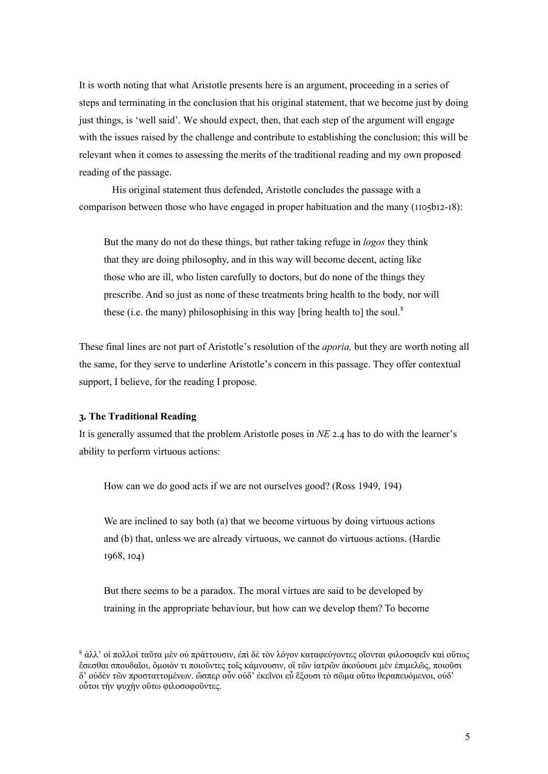It is worth noting that what Aristotle presents here is an argument, proceeding in a series of steps and terminating in the conclusion that his original statement, that we become just by doing just things, is 'well said'. We should expect, then, that each step of the argument will engage with the issues raised by the challenge and contribute to establishing the conclusion; this will be relevant when it comes to assessing the merits of the traditional reading and my own proposed reading of the passage.

His original statement thus defended, Aristotle concludes the passage with a comparison between those who have engaged in proper habituation and the many  $(110 \text{Sb12} - 18)$ :

But the many do not do these things, but rather taking refuge in *logos* they think that they are doing philosophy, and in this way will become decent, acting like those who are ill, who listen carefully to doctors, but do none of the things they prescribe. And so just as none of these treatments bring health to the body, nor will these (i.e. the many) philosophising in this way [bring health to] the soul.<sup>8</sup>

These final lines are not part of Aristotle's resolution of the *aporia,* but they are worth noting all the same, for they serve to underline Aristotle's concern in this passage. They offer contextual support, I believe, for the reading I propose.

# **C. The Traditional Reading**

It is generally assumed that the problem Aristotle poses in *NE* 2.4 has to do with the learner's ability to perform virtuous actions:

How can we do good acts if we are not ourselves good? (Ross 1949, 194)

We are inclined to say both (a) that we become virtuous by doing virtuous actions and (b) that, unless we are already virtuous, we cannot do virtuous actions. (Hardie  $\,1968, 104)$ 

But there seems to be a paradox. The moral virtues are said to be developed by training in the appropriate behaviour, but how can we develop them? To become

<sup>8</sup> ἀλλ' οἱ πολλοὶ ταῦτα μὲν οὐ πράττουσιν, ἐπὶ δὲ τὸν λόγον καταφεύγοντες οἴονται φιλοσοφεῖν καὶ οὕτως ἔσεσθαι σπουδαῖοι, ὅμοιόν τι ποιοῦντες τοῖς κάμνουσιν, οἳ τῶν ἰατρῶν ἀκούουσι μὲν ἐπιμελῶς, ποιοῦσι δ' οὐδὲν τῶν προσταττομένων. ὥσπερ οὖν οὐδ' ἐκεῖνοι εὖ ἕξουσι τὸ σῶμα οὕτω θεραπευόμενοι, οὐδ' οὗτοι τὴν ψυχὴν οὕτω φιλοσοφοῦντες.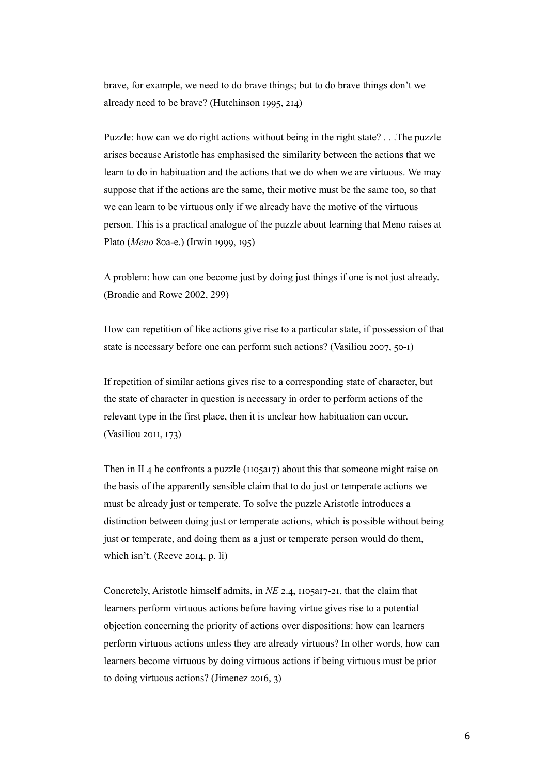brave, for example, we need to do brave things; but to do brave things don't we already need to be brave? (Hutchinson  $\lambda$ 995, 214)

Puzzle: how can we do right actions without being in the right state? . . .The puzzle arises because Aristotle has emphasised the similarity between the actions that we learn to do in habituation and the actions that we do when we are virtuous. We may suppose that if the actions are the same, their motive must be the same too, so that we can learn to be virtuous only if we already have the motive of the virtuous person. This is a practical analogue of the puzzle about learning that Meno raises at Plato (Meno 80a-e.) (Irwin 1999, 195)

A problem: how can one become just by doing just things if one is not just already. (Broadie and Rowe 2002, 299)

How can repetition of like actions give rise to a particular state, if possession of that state is necessary before one can perform such actions? (Vasiliou 2007, 50-I)

If repetition of similar actions gives rise to a corresponding state of character, but the state of character in question is necessary in order to perform actions of the relevant type in the first place, then it is unclear how habituation can occur.  $(Vasiliou 20II, I73)$ 

Then in II 4 he confronts a puzzle ( $\overline{1105a17}$ ) about this that someone might raise on the basis of the apparently sensible claim that to do just or temperate actions we must be already just or temperate. To solve the puzzle Aristotle introduces a distinction between doing just or temperate actions, which is possible without being just or temperate, and doing them as a just or temperate person would do them, which isn't. (Reeve  $20I4$ , p. li)

Concretely, Aristotle himself admits, in *NE* 2.4, 1105a17-21, that the claim that learners perform virtuous actions before having virtue gives rise to a potential objection concerning the priority of actions over dispositions: how can learners perform virtuous actions unless they are already virtuous? In other words, how can learners become virtuous by doing virtuous actions if being virtuous must be prior to doing virtuous actions? (Jimenez  $2016, 3$ )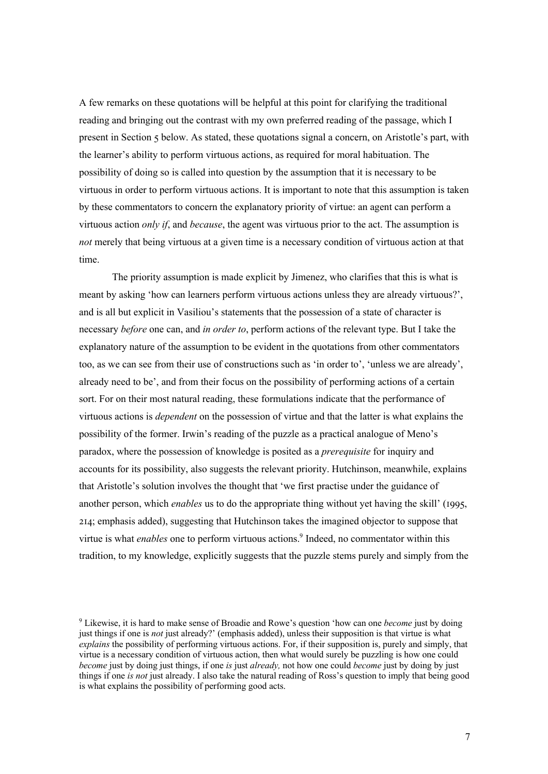A few remarks on these quotations will be helpful at this point for clarifying the traditional reading and bringing out the contrast with my own preferred reading of the passage, which I present in Section 5 below. As stated, these quotations signal a concern, on Aristotle's part, with the learner's ability to perform virtuous actions, as required for moral habituation. The possibility of doing so is called into question by the assumption that it is necessary to be virtuous in order to perform virtuous actions. It is important to note that this assumption is taken by these commentators to concern the explanatory priority of virtue: an agent can perform a virtuous action *only if*, and *because*, the agent was virtuous prior to the act. The assumption is *not* merely that being virtuous at a given time is a necessary condition of virtuous action at that time.

The priority assumption is made explicit by Jimenez, who clarifies that this is what is meant by asking 'how can learners perform virtuous actions unless they are already virtuous?', and is all but explicit in Vasiliou's statements that the possession of a state of character is necessary *before* one can, and *in order to*, perform actions of the relevant type. But I take the explanatory nature of the assumption to be evident in the quotations from other commentators too, as we can see from their use of constructions such as 'in order to', 'unless we are already', already need to be', and from their focus on the possibility of performing actions of a certain sort. For on their most natural reading, these formulations indicate that the performance of virtuous actions is *dependent* on the possession of virtue and that the latter is what explains the possibility of the former. Irwin's reading of the puzzle as a practical analogue of Meno's paradox, where the possession of knowledge is posited as a *prerequisite* for inquiry and accounts for its possibility, also suggests the relevant priority. Hutchinson, meanwhile, explains that Aristotle's solution involves the thought that 'we first practise under the guidance of another person, which *enables* us to do the appropriate thing without yet having the skill' (1995, E\F; emphasis added), suggesting that Hutchinson takes the imagined objector to suppose that virtue is what *enables* one to perform virtuous actions.<sup>9</sup> Indeed, no commentator within this tradition, to my knowledge, explicitly suggests that the puzzle stems purely and simply from the

<sup>9</sup> Likewise, it is hard to make sense of Broadie and Rowe's question 'how can one *become* just by doing just things if one is *not* just already?' (emphasis added), unless their supposition is that virtue is what *explains* the possibility of performing virtuous actions. For, if their supposition is, purely and simply, that virtue is a necessary condition of virtuous action, then what would surely be puzzling is how one could *become* just by doing just things, if one *is* just *already,* not how one could *become* just by doing by just things if one *is not* just already. I also take the natural reading of Ross's question to imply that being good is what explains the possibility of performing good acts.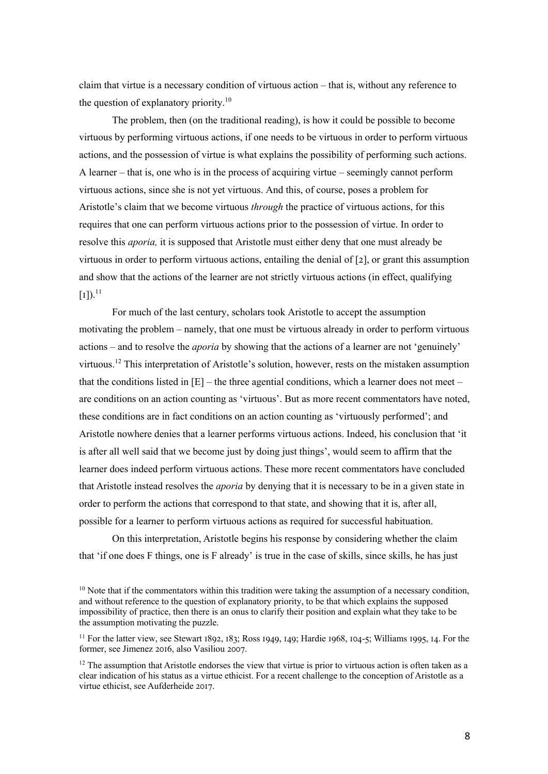claim that virtue is a necessary condition of virtuous action – that is, without any reference to the question of explanatory priority.<sup>10</sup>

The problem, then (on the traditional reading), is how it could be possible to become virtuous by performing virtuous actions, if one needs to be virtuous in order to perform virtuous actions, and the possession of virtue is what explains the possibility of performing such actions. A learner – that is, one who is in the process of acquiring virtue – seemingly cannot perform virtuous actions, since she is not yet virtuous. And this, of course, poses a problem for Aristotle's claim that we become virtuous *through* the practice of virtuous actions, for this requires that one can perform virtuous actions prior to the possession of virtue. In order to resolve this *aporia,* it is supposed that Aristotle must either deny that one must already be virtuous in order to perform virtuous actions, entailing the denial of  $[2]$ , or grant this assumption and show that the actions of the learner are not strictly virtuous actions (in effect, qualifying  $\left[1\right].$ <sup>11</sup>

For much of the last century, scholars took Aristotle to accept the assumption motivating the problem – namely, that one must be virtuous already in order to perform virtuous actions – and to resolve the *aporia* by showing that the actions of a learner are not 'genuinely' virtuous.<sup>12</sup> This interpretation of Aristotle's solution, however, rests on the mistaken assumption that the conditions listed in [E] – the three agential conditions, which a learner does not meet – are conditions on an action counting as 'virtuous'. But as more recent commentators have noted, these conditions are in fact conditions on an action counting as 'virtuously performed'; and Aristotle nowhere denies that a learner performs virtuous actions. Indeed, his conclusion that 'it is after all well said that we become just by doing just things', would seem to affirm that the learner does indeed perform virtuous actions. These more recent commentators have concluded that Aristotle instead resolves the *aporia* by denying that it is necessary to be in a given state in order to perform the actions that correspond to that state, and showing that it is, after all, possible for a learner to perform virtuous actions as required for successful habituation.

On this interpretation, Aristotle begins his response by considering whether the claim that 'if one does F things, one is F already' is true in the case of skills, since skills, he has just

 $10$  Note that if the commentators within this tradition were taking the assumption of a necessary condition, and without reference to the question of explanatory priority, to be that which explains the supposed impossibility of practice, then there is an onus to clarify their position and explain what they take to be the assumption motivating the puzzle.

 $11$  For the latter view, see Stewart 1892, 183; Ross 1949, 149; Hardie 1968, 104-5; Williams 1995, 14. For the former, see Jimenez 2016, also Vasiliou 2007.

<sup>&</sup>lt;sup>12</sup> The assumption that Aristotle endorses the view that virtue is prior to virtuous action is often taken as a clear indication of his status as a virtue ethicist. For a recent challenge to the conception of Aristotle as a virtue ethicist, see Aufderheide 2017.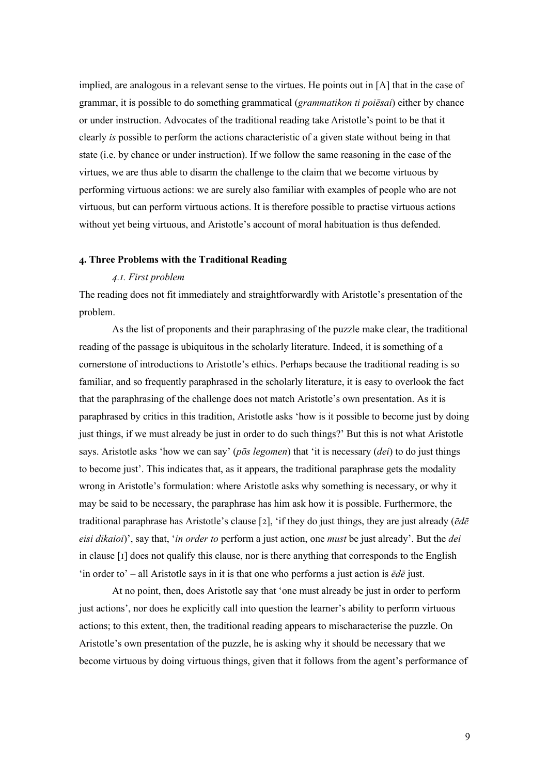implied, are analogous in a relevant sense to the virtues. He points out in [A] that in the case of grammar, it is possible to do something grammatical (*grammatikon ti poiēsai*) either by chance or under instruction. Advocates of the traditional reading take Aristotle's point to be that it clearly *is* possible to perform the actions characteristic of a given state without being in that state (i.e. by chance or under instruction). If we follow the same reasoning in the case of the virtues, we are thus able to disarm the challenge to the claim that we become virtuous by performing virtuous actions: we are surely also familiar with examples of people who are not virtuous, but can perform virtuous actions. It is therefore possible to practise virtuous actions without yet being virtuous, and Aristotle's account of moral habituation is thus defended.

## **;. Three Problems with the Traditional Reading**

#### *@.A. First problem*

The reading does not fit immediately and straightforwardly with Aristotle's presentation of the problem.

As the list of proponents and their paraphrasing of the puzzle make clear, the traditional reading of the passage is ubiquitous in the scholarly literature. Indeed, it is something of a cornerstone of introductions to Aristotle's ethics. Perhaps because the traditional reading is so familiar, and so frequently paraphrased in the scholarly literature, it is easy to overlook the fact that the paraphrasing of the challenge does not match Aristotle's own presentation. As it is paraphrased by critics in this tradition, Aristotle asks 'how is it possible to become just by doing just things, if we must already be just in order to do such things?' But this is not what Aristotle says. Aristotle asks 'how we can say' (*pōs legomen*) that 'it is necessary (*dei*) to do just things to become just'. This indicates that, as it appears, the traditional paraphrase gets the modality wrong in Aristotle's formulation: where Aristotle asks why something is necessary, or why it may be said to be necessary, the paraphrase has him ask how it is possible. Furthermore, the traditional paraphrase has Aristotle's clause [E], 'if they do just things, they are just already (*ēdē eisi dikaioi*)', say that, '*in order to* perform a just action, one *must* be just already'. But the *dei*  in clause  $[I]$  does not qualify this clause, nor is there anything that corresponds to the English 'in order to' – all Aristotle says in it is that one who performs a just action is *ēdē* just.

At no point, then, does Aristotle say that 'one must already be just in order to perform just actions', nor does he explicitly call into question the learner's ability to perform virtuous actions; to this extent, then, the traditional reading appears to mischaracterise the puzzle. On Aristotle's own presentation of the puzzle, he is asking why it should be necessary that we become virtuous by doing virtuous things, given that it follows from the agent's performance of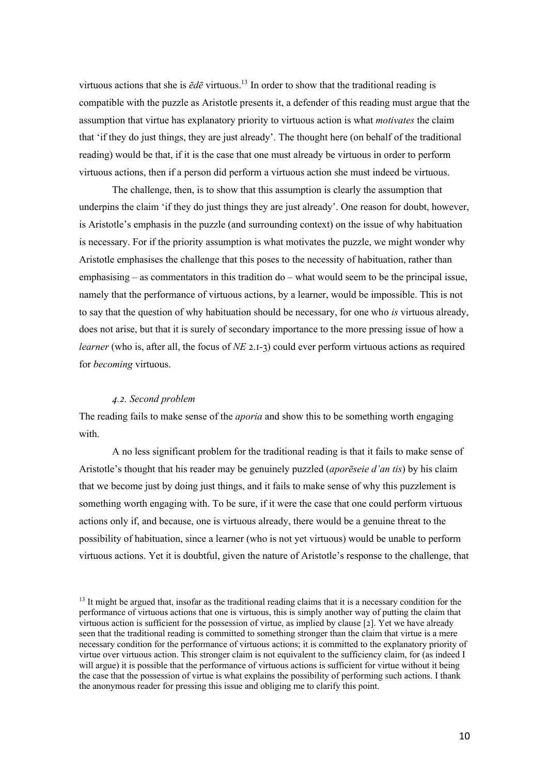virtuous actions that she is  $\bar{\epsilon}d\bar{\epsilon}$  virtuous.<sup>13</sup> In order to show that the traditional reading is compatible with the puzzle as Aristotle presents it, a defender of this reading must argue that the assumption that virtue has explanatory priority to virtuous action is what *motivates* the claim that 'if they do just things, they are just already'. The thought here (on behalf of the traditional reading) would be that, if it is the case that one must already be virtuous in order to perform virtuous actions, then if a person did perform a virtuous action she must indeed be virtuous.

The challenge, then, is to show that this assumption is clearly the assumption that underpins the claim 'if they do just things they are just already'. One reason for doubt, however, is Aristotle's emphasis in the puzzle (and surrounding context) on the issue of why habituation is necessary. For if the priority assumption is what motivates the puzzle, we might wonder why Aristotle emphasises the challenge that this poses to the necessity of habituation, rather than emphasising – as commentators in this tradition do – what would seem to be the principal issue, namely that the performance of virtuous actions, by a learner, would be impossible. This is not to say that the question of why habituation should be necessary, for one who *is* virtuous already, does not arise, but that it is surely of secondary importance to the more pressing issue of how a *learner* (who is, after all, the focus of *NE* 2.1-3) could ever perform virtuous actions as required for *becoming* virtuous.

# *@.D. Second problem*

The reading fails to make sense of the *aporia* and show this to be something worth engaging with.

A no less significant problem for the traditional reading is that it fails to make sense of Aristotle's thought that his reader may be genuinely puzzled (*aporēseie d'an tis*) by his claim that we become just by doing just things, and it fails to make sense of why this puzzlement is something worth engaging with. To be sure, if it were the case that one could perform virtuous actions only if, and because, one is virtuous already, there would be a genuine threat to the possibility of habituation, since a learner (who is not yet virtuous) would be unable to perform virtuous actions. Yet it is doubtful, given the nature of Aristotle's response to the challenge, that

<sup>&</sup>lt;sup>13</sup> It might be argued that, insofar as the traditional reading claims that it is a necessary condition for the performance of virtuous actions that one is virtuous, this is simply another way of putting the claim that virtuous action is sufficient for the possession of virtue, as implied by clause  $[2]$ . Yet we have already seen that the traditional reading is committed to something stronger than the claim that virtue is a mere necessary condition for the performance of virtuous actions; it is committed to the explanatory priority of virtue over virtuous action. This stronger claim is not equivalent to the sufficiency claim, for (as indeed I will argue) it is possible that the performance of virtuous actions is sufficient for virtue without it being the case that the possession of virtue is what explains the possibility of performing such actions. I thank the anonymous reader for pressing this issue and obliging me to clarify this point.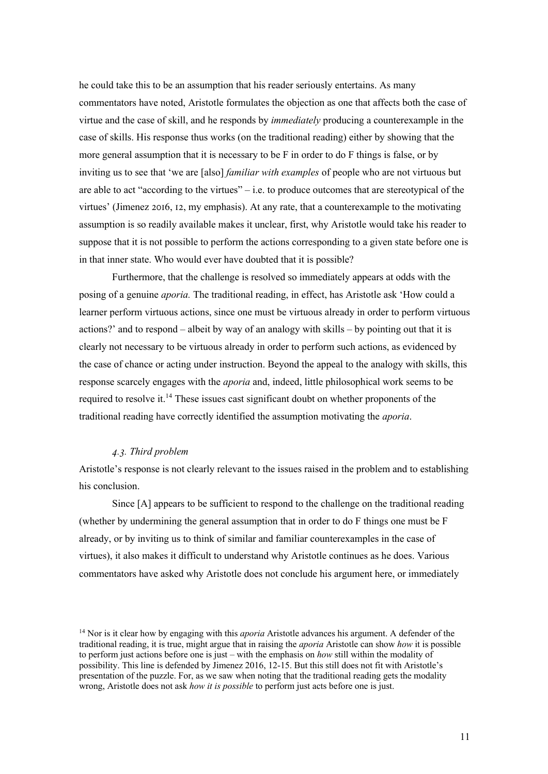he could take this to be an assumption that his reader seriously entertains. As many commentators have noted, Aristotle formulates the objection as one that affects both the case of virtue and the case of skill, and he responds by *immediately* producing a counterexample in the case of skills. His response thus works (on the traditional reading) either by showing that the more general assumption that it is necessary to be F in order to do F things is false, or by inviting us to see that 'we are [also] *familiar with examples* of people who are not virtuous but are able to act "according to the virtues" – i.e. to produce outcomes that are stereotypical of the virtues' (Jimenez 2016, 12, my emphasis). At any rate, that a counterexample to the motivating assumption is so readily available makes it unclear, first, why Aristotle would take his reader to suppose that it is not possible to perform the actions corresponding to a given state before one is in that inner state. Who would ever have doubted that it is possible?

Furthermore, that the challenge is resolved so immediately appears at odds with the posing of a genuine *aporia.* The traditional reading, in effect, has Aristotle ask 'How could a learner perform virtuous actions, since one must be virtuous already in order to perform virtuous actions?' and to respond – albeit by way of an analogy with skills – by pointing out that it is clearly not necessary to be virtuous already in order to perform such actions, as evidenced by the case of chance or acting under instruction. Beyond the appeal to the analogy with skills, this response scarcely engages with the *aporia* and, indeed, little philosophical work seems to be required to resolve it.<sup>14</sup> These issues cast significant doubt on whether proponents of the traditional reading have correctly identified the assumption motivating the *aporia*.

### *@.I. Third problem*

Aristotle's response is not clearly relevant to the issues raised in the problem and to establishing his conclusion.

Since [A] appears to be sufficient to respond to the challenge on the traditional reading (whether by undermining the general assumption that in order to do F things one must be F already, or by inviting us to think of similar and familiar counterexamples in the case of virtues), it also makes it difficult to understand why Aristotle continues as he does. Various commentators have asked why Aristotle does not conclude his argument here, or immediately

<sup>14</sup> Nor is it clear how by engaging with this *aporia* Aristotle advances his argument. A defender of the traditional reading, it is true, might argue that in raising the *aporia* Aristotle can show *how* it is possible to perform just actions before one is just – with the emphasis on *how* still within the modality of possibility. This line is defended by Jimenez 2016, 12-15. But this still does not fit with Aristotle's presentation of the puzzle. For, as we saw when noting that the traditional reading gets the modality wrong, Aristotle does not ask *how it is possible* to perform just acts before one is just.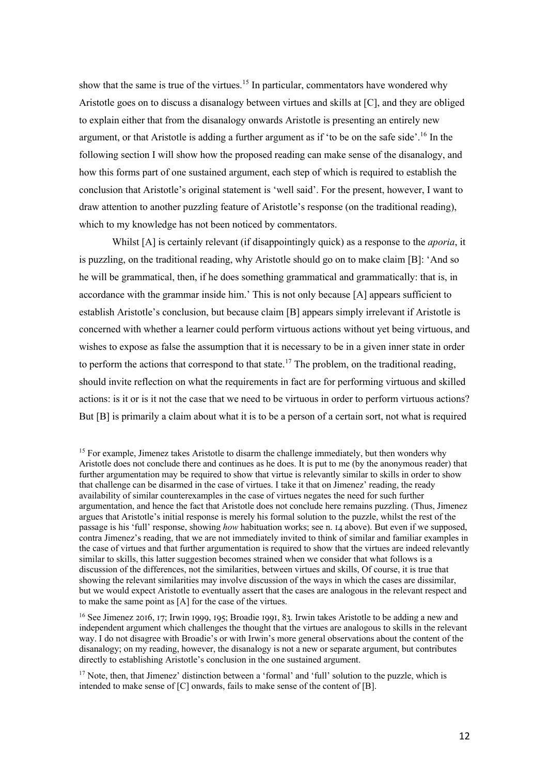show that the same is true of the virtues.<sup>15</sup> In particular, commentators have wondered why Aristotle goes on to discuss a disanalogy between virtues and skills at [C], and they are obliged to explain either that from the disanalogy onwards Aristotle is presenting an entirely new argument, or that Aristotle is adding a further argument as if 'to be on the safe side'.<sup>16</sup> In the following section I will show how the proposed reading can make sense of the disanalogy, and how this forms part of one sustained argument, each step of which is required to establish the conclusion that Aristotle's original statement is 'well said'. For the present, however, I want to draw attention to another puzzling feature of Aristotle's response (on the traditional reading), which to my knowledge has not been noticed by commentators.

Whilst [A] is certainly relevant (if disappointingly quick) as a response to the *aporia*, it is puzzling, on the traditional reading, why Aristotle should go on to make claim [B]: 'And so he will be grammatical, then, if he does something grammatical and grammatically: that is, in accordance with the grammar inside him.' This is not only because [A] appears sufficient to establish Aristotle's conclusion, but because claim [B] appears simply irrelevant if Aristotle is concerned with whether a learner could perform virtuous actions without yet being virtuous, and wishes to expose as false the assumption that it is necessary to be in a given inner state in order to perform the actions that correspond to that state.<sup>17</sup> The problem, on the traditional reading, should invite reflection on what the requirements in fact are for performing virtuous and skilled actions: is it or is it not the case that we need to be virtuous in order to perform virtuous actions? But [B] is primarily a claim about what it is to be a person of a certain sort, not what is required

<sup>&</sup>lt;sup>15</sup> For example, Jimenez takes Aristotle to disarm the challenge immediately, but then wonders why Aristotle does not conclude there and continues as he does. It is put to me (by the anonymous reader) that further argumentation may be required to show that virtue is relevantly similar to skills in order to show that challenge can be disarmed in the case of virtues. I take it that on Jimenez' reading, the ready availability of similar counterexamples in the case of virtues negates the need for such further argumentation, and hence the fact that Aristotle does not conclude here remains puzzling. (Thus, Jimenez argues that Aristotle's initial response is merely his formal solution to the puzzle, whilst the rest of the passage is his 'full' response, showing *how* habituation works; see n. 14 above). But even if we supposed, contra Jimenez's reading, that we are not immediately invited to think of similar and familiar examples in the case of virtues and that further argumentation is required to show that the virtues are indeed relevantly similar to skills, this latter suggestion becomes strained when we consider that what follows is a discussion of the differences, not the similarities, between virtues and skills, Of course, it is true that showing the relevant similarities may involve discussion of the ways in which the cases are dissimilar, but we would expect Aristotle to eventually assert that the cases are analogous in the relevant respect and to make the same point as [A] for the case of the virtues.

 $16$  See Jimenez 2016, 17; Irwin 1999, 195; Broadie 1991, 83. Irwin takes Aristotle to be adding a new and independent argument which challenges the thought that the virtues are analogous to skills in the relevant way. I do not disagree with Broadie's or with Irwin's more general observations about the content of the disanalogy; on my reading, however, the disanalogy is not a new or separate argument, but contributes directly to establishing Aristotle's conclusion in the one sustained argument.

<sup>&</sup>lt;sup>17</sup> Note, then, that Jimenez' distinction between a 'formal' and 'full' solution to the puzzle, which is intended to make sense of [C] onwards, fails to make sense of the content of [B].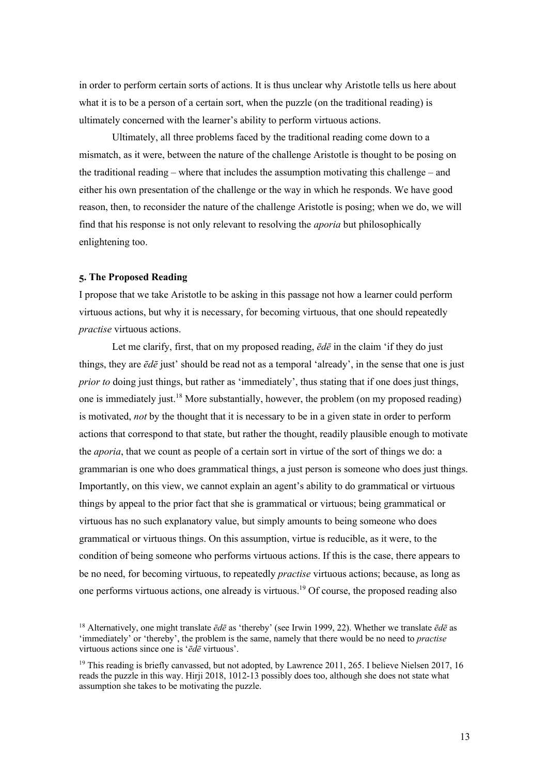in order to perform certain sorts of actions. It is thus unclear why Aristotle tells us here about what it is to be a person of a certain sort, when the puzzle (on the traditional reading) is ultimately concerned with the learner's ability to perform virtuous actions.

Ultimately, all three problems faced by the traditional reading come down to a mismatch, as it were, between the nature of the challenge Aristotle is thought to be posing on the traditional reading – where that includes the assumption motivating this challenge – and either his own presentation of the challenge or the way in which he responds. We have good reason, then, to reconsider the nature of the challenge Aristotle is posing; when we do, we will find that his response is not only relevant to resolving the *aporia* but philosophically enlightening too.

# **E. The Proposed Reading**

I propose that we take Aristotle to be asking in this passage not how a learner could perform virtuous actions, but why it is necessary, for becoming virtuous, that one should repeatedly *practise* virtuous actions.

Let me clarify, first, that on my proposed reading, *ēdē* in the claim 'if they do just things, they are *ēdē* just' should be read not as a temporal 'already', in the sense that one is just *prior to* doing just things, but rather as 'immediately', thus stating that if one does just things, one is immediately just.<sup>18</sup> More substantially, however, the problem (on my proposed reading) is motivated, *not* by the thought that it is necessary to be in a given state in order to perform actions that correspond to that state, but rather the thought, readily plausible enough to motivate the *aporia*, that we count as people of a certain sort in virtue of the sort of things we do: a grammarian is one who does grammatical things, a just person is someone who does just things. Importantly, on this view, we cannot explain an agent's ability to do grammatical or virtuous things by appeal to the prior fact that she is grammatical or virtuous; being grammatical or virtuous has no such explanatory value, but simply amounts to being someone who does grammatical or virtuous things. On this assumption, virtue is reducible, as it were, to the condition of being someone who performs virtuous actions. If this is the case, there appears to be no need, for becoming virtuous, to repeatedly *practise* virtuous actions; because, as long as one performs virtuous actions, one already is virtuous.19 Of course, the proposed reading also

<sup>18</sup> Alternatively, one might translate *ēdē* as 'thereby' (see Irwin 1999, 22). Whether we translate *ēdē* as 'immediately' or 'thereby', the problem is the same, namely that there would be no need to *practise*  virtuous actions since one is '*ēdē* virtuous'.

<sup>&</sup>lt;sup>19</sup> This reading is briefly canvassed, but not adopted, by Lawrence 2011, 265. I believe Nielsen 2017, 16 reads the puzzle in this way. Hirji 2018, 1012-13 possibly does too, although she does not state what assumption she takes to be motivating the puzzle.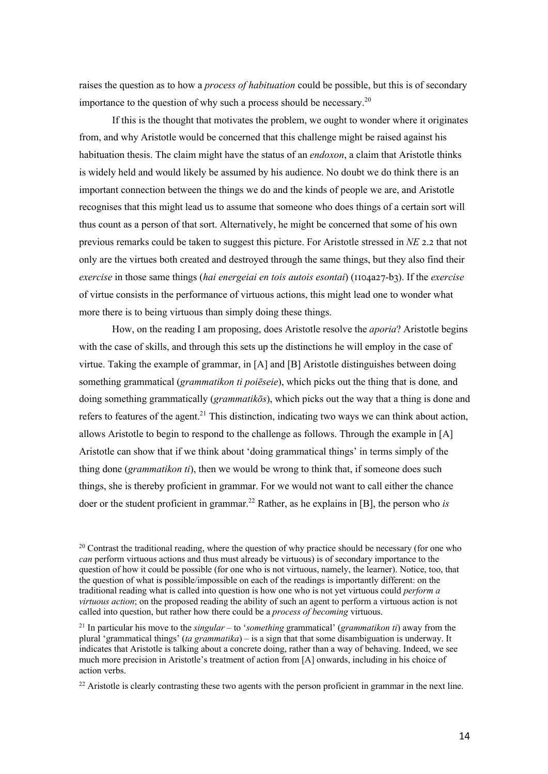raises the question as to how a *process of habituation* could be possible, but this is of secondary importance to the question of why such a process should be necessary.<sup>20</sup>

If this is the thought that motivates the problem, we ought to wonder where it originates from, and why Aristotle would be concerned that this challenge might be raised against his habituation thesis. The claim might have the status of an *endoxon*, a claim that Aristotle thinks is widely held and would likely be assumed by his audience. No doubt we do think there is an important connection between the things we do and the kinds of people we are, and Aristotle recognises that this might lead us to assume that someone who does things of a certain sort will thus count as a person of that sort. Alternatively, he might be concerned that some of his own previous remarks could be taken to suggest this picture. For Aristotle stressed in *NE* 2.2 that not only are the virtues both created and destroyed through the same things, but they also find their *exercise* in those same things (*hai energeiai en tois autois esontai*) ( $\text{IIO4a27-b3}$ ). If the *exercise* of virtue consists in the performance of virtuous actions, this might lead one to wonder what more there is to being virtuous than simply doing these things.

How, on the reading I am proposing, does Aristotle resolve the *aporia*? Aristotle begins with the case of skills, and through this sets up the distinctions he will employ in the case of virtue. Taking the example of grammar, in [A] and [B] Aristotle distinguishes between doing something grammatical (*grammatikon ti poiēseie*), which picks out the thing that is done*,* and doing something grammatically (*grammatikōs*), which picks out the way that a thing is done and refers to features of the agent.<sup>21</sup> This distinction, indicating two ways we can think about action, allows Aristotle to begin to respond to the challenge as follows. Through the example in [A] Aristotle can show that if we think about 'doing grammatical things' in terms simply of the thing done (*grammatikon ti*), then we would be wrong to think that, if someone does such things, she is thereby proficient in grammar. For we would not want to call either the chance doer or the student proficient in grammar.<sup>22</sup> Rather, as he explains in [B], the person who *is* 

 $20$  Contrast the traditional reading, where the question of why practice should be necessary (for one who *can* perform virtuous actions and thus must already be virtuous) is of secondary importance to the question of how it could be possible (for one who is not virtuous, namely, the learner). Notice, too, that the question of what is possible/impossible on each of the readings is importantly different: on the traditional reading what is called into question is how one who is not yet virtuous could *perform a virtuous action*; on the proposed reading the ability of such an agent to perform a virtuous action is not called into question, but rather how there could be a *process of becoming* virtuous.

<sup>21</sup> In particular his move to the *singular* – to '*something* grammatical' (*grammatikon ti*) away from the plural 'grammatical things' (*ta grammatika*) – is a sign that that some disambiguation is underway. It indicates that Aristotle is talking about a concrete doing, rather than a way of behaving. Indeed, we see much more precision in Aristotle's treatment of action from [A] onwards, including in his choice of action verbs.

<sup>22</sup> Aristotle is clearly contrasting these two agents with the person proficient in grammar in the next line.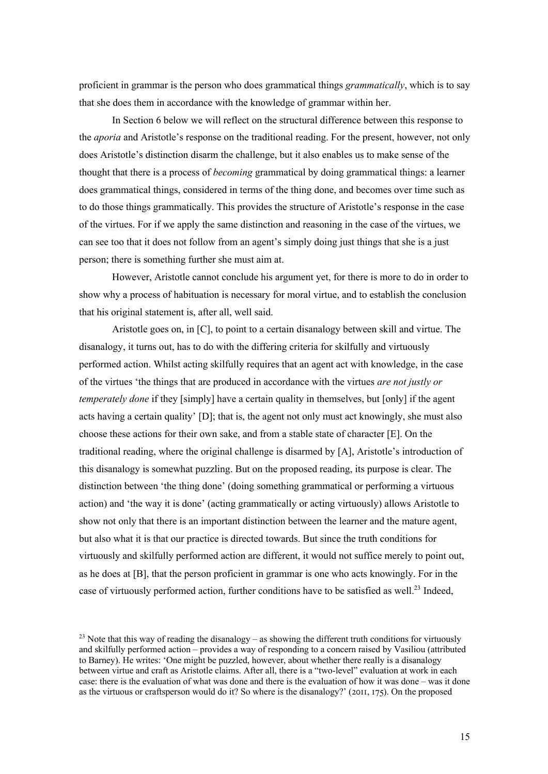proficient in grammar is the person who does grammatical things *grammatically*, which is to say that she does them in accordance with the knowledge of grammar within her.

In Section 6 below we will reflect on the structural difference between this response to the *aporia* and Aristotle's response on the traditional reading. For the present, however, not only does Aristotle's distinction disarm the challenge, but it also enables us to make sense of the thought that there is a process of *becoming* grammatical by doing grammatical things: a learner does grammatical things, considered in terms of the thing done, and becomes over time such as to do those things grammatically. This provides the structure of Aristotle's response in the case of the virtues. For if we apply the same distinction and reasoning in the case of the virtues, we can see too that it does not follow from an agent's simply doing just things that she is a just person; there is something further she must aim at.

However, Aristotle cannot conclude his argument yet, for there is more to do in order to show why a process of habituation is necessary for moral virtue, and to establish the conclusion that his original statement is, after all, well said.

Aristotle goes on, in [C], to point to a certain disanalogy between skill and virtue. The disanalogy, it turns out, has to do with the differing criteria for skilfully and virtuously performed action. Whilst acting skilfully requires that an agent act with knowledge, in the case of the virtues 'the things that are produced in accordance with the virtues *are not justly or temperately done* if they [simply] have a certain quality in themselves, but [only] if the agent acts having a certain quality' [D]; that is, the agent not only must act knowingly, she must also choose these actions for their own sake, and from a stable state of character [E]. On the traditional reading, where the original challenge is disarmed by [A], Aristotle's introduction of this disanalogy is somewhat puzzling. But on the proposed reading, its purpose is clear. The distinction between 'the thing done' (doing something grammatical or performing a virtuous action) and 'the way it is done' (acting grammatically or acting virtuously) allows Aristotle to show not only that there is an important distinction between the learner and the mature agent, but also what it is that our practice is directed towards. But since the truth conditions for virtuously and skilfully performed action are different, it would not suffice merely to point out, as he does at [B], that the person proficient in grammar is one who acts knowingly. For in the case of virtuously performed action, further conditions have to be satisfied as well.<sup>23</sup> Indeed,

<sup>&</sup>lt;sup>23</sup> Note that this way of reading the disanalogy – as showing the different truth conditions for virtuously and skilfully performed action – provides a way of responding to a concern raised by Vasiliou (attributed to Barney). He writes: 'One might be puzzled, however, about whether there really is a disanalogy between virtue and craft as Aristotle claims. After all, there is a "two-level" evaluation at work in each case: there is the evaluation of what was done and there is the evaluation of how it was done – was it done as the virtuous or craftsperson would do it? So where is the disanalogy?'  $(2011, 175)$ . On the proposed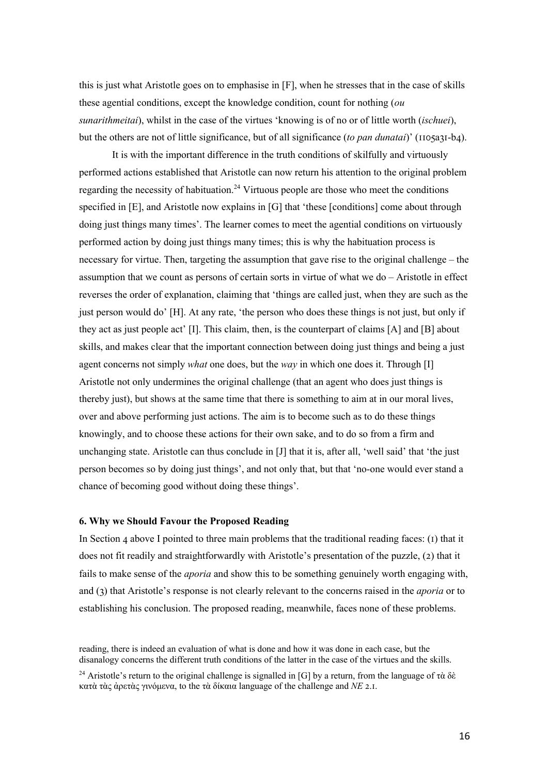this is just what Aristotle goes on to emphasise in [F], when he stresses that in the case of skills these agential conditions, except the knowledge condition, count for nothing (*ou sunarithmeitai*), whilst in the case of the virtues 'knowing is of no or of little worth (*ischuei*), but the others are not of little significance, but of all significance (*to pan dunatai*)' (1105a31-b4).

It is with the important difference in the truth conditions of skilfully and virtuously performed actions established that Aristotle can now return his attention to the original problem regarding the necessity of habituation.<sup>24</sup> Virtuous people are those who meet the conditions specified in [E], and Aristotle now explains in [G] that 'these [conditions] come about through doing just things many times'. The learner comes to meet the agential conditions on virtuously performed action by doing just things many times; this is why the habituation process is necessary for virtue. Then, targeting the assumption that gave rise to the original challenge – the assumption that we count as persons of certain sorts in virtue of what we do – Aristotle in effect reverses the order of explanation, claiming that 'things are called just, when they are such as the just person would do' [H]. At any rate, 'the person who does these things is not just, but only if they act as just people act' [I]. This claim, then, is the counterpart of claims [A] and [B] about skills, and makes clear that the important connection between doing just things and being a just agent concerns not simply *what* one does, but the *way* in which one does it. Through [I] Aristotle not only undermines the original challenge (that an agent who does just things is thereby just), but shows at the same time that there is something to aim at in our moral lives, over and above performing just actions. The aim is to become such as to do these things knowingly, and to choose these actions for their own sake, and to do so from a firm and unchanging state. Aristotle can thus conclude in [J] that it is, after all, 'well said' that 'the just person becomes so by doing just things', and not only that, but that 'no-one would ever stand a chance of becoming good without doing these things'.

#### **G. Why we Should Favour the Proposed Reading**

In Section 4 above I pointed to three main problems that the traditional reading faces: ( $\overline{\phantom{a}}$ ) that it does not fit readily and straightforwardly with Aristotle's presentation of the puzzle, (2) that it fails to make sense of the *aporia* and show this to be something genuinely worth engaging with, and (\_) that Aristotle's response is not clearly relevant to the concerns raised in the *aporia* or to establishing his conclusion. The proposed reading, meanwhile, faces none of these problems.

reading, there is indeed an evaluation of what is done and how it was done in each case, but the disanalogy concerns the different truth conditions of the latter in the case of the virtues and the skills.

<sup>&</sup>lt;sup>24</sup> Aristotle's return to the original challenge is signalled in [G] by a return, from the language of τὰ δὲ κατὰ τὰς ἀρετὰς γινόμενα, to the τὰ δίκαια language of the challenge and *NE* °.û.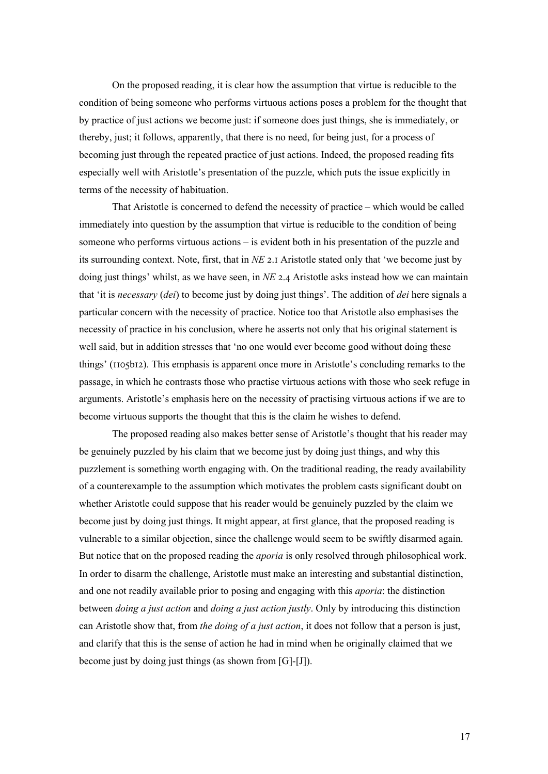On the proposed reading, it is clear how the assumption that virtue is reducible to the condition of being someone who performs virtuous actions poses a problem for the thought that by practice of just actions we become just: if someone does just things, she is immediately, or thereby, just; it follows, apparently, that there is no need, for being just, for a process of becoming just through the repeated practice of just actions. Indeed, the proposed reading fits especially well with Aristotle's presentation of the puzzle, which puts the issue explicitly in terms of the necessity of habituation.

That Aristotle is concerned to defend the necessity of practice – which would be called immediately into question by the assumption that virtue is reducible to the condition of being someone who performs virtuous actions – is evident both in his presentation of the puzzle and its surrounding context. Note, first, that in *NE* 2.1 Aristotle stated only that 'we become just by doing just things' whilst, as we have seen, in *NE* 2.4 Aristotle asks instead how we can maintain that 'it is *necessary* (*dei*) to become just by doing just things'. The addition of *dei* here signals a particular concern with the necessity of practice. Notice too that Aristotle also emphasises the necessity of practice in his conclusion, where he asserts not only that his original statement is well said, but in addition stresses that 'no one would ever become good without doing these things' ( $1005b12$ ). This emphasis is apparent once more in Aristotle's concluding remarks to the passage, in which he contrasts those who practise virtuous actions with those who seek refuge in arguments. Aristotle's emphasis here on the necessity of practising virtuous actions if we are to become virtuous supports the thought that this is the claim he wishes to defend.

The proposed reading also makes better sense of Aristotle's thought that his reader may be genuinely puzzled by his claim that we become just by doing just things, and why this puzzlement is something worth engaging with. On the traditional reading, the ready availability of a counterexample to the assumption which motivates the problem casts significant doubt on whether Aristotle could suppose that his reader would be genuinely puzzled by the claim we become just by doing just things. It might appear, at first glance, that the proposed reading is vulnerable to a similar objection, since the challenge would seem to be swiftly disarmed again. But notice that on the proposed reading the *aporia* is only resolved through philosophical work. In order to disarm the challenge, Aristotle must make an interesting and substantial distinction, and one not readily available prior to posing and engaging with this *aporia*: the distinction between *doing a just action* and *doing a just action justly*. Only by introducing this distinction can Aristotle show that, from *the doing of a just action*, it does not follow that a person is just, and clarify that this is the sense of action he had in mind when he originally claimed that we become just by doing just things (as shown from [G]-[J]).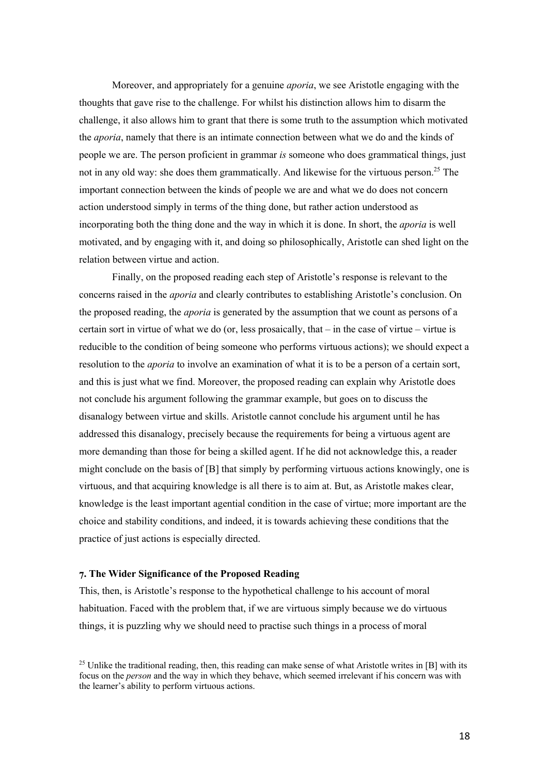Moreover, and appropriately for a genuine *aporia*, we see Aristotle engaging with the thoughts that gave rise to the challenge. For whilst his distinction allows him to disarm the challenge, it also allows him to grant that there is some truth to the assumption which motivated the *aporia*, namely that there is an intimate connection between what we do and the kinds of people we are. The person proficient in grammar *is* someone who does grammatical things, just not in any old way: she does them grammatically. And likewise for the virtuous person.<sup>25</sup> The important connection between the kinds of people we are and what we do does not concern action understood simply in terms of the thing done, but rather action understood as incorporating both the thing done and the way in which it is done. In short, the *aporia* is well motivated, and by engaging with it, and doing so philosophically, Aristotle can shed light on the relation between virtue and action.

Finally, on the proposed reading each step of Aristotle's response is relevant to the concerns raised in the *aporia* and clearly contributes to establishing Aristotle's conclusion. On the proposed reading, the *aporia* is generated by the assumption that we count as persons of a certain sort in virtue of what we do (or, less prosaically, that – in the case of virtue – virtue is reducible to the condition of being someone who performs virtuous actions); we should expect a resolution to the *aporia* to involve an examination of what it is to be a person of a certain sort, and this is just what we find. Moreover, the proposed reading can explain why Aristotle does not conclude his argument following the grammar example, but goes on to discuss the disanalogy between virtue and skills. Aristotle cannot conclude his argument until he has addressed this disanalogy, precisely because the requirements for being a virtuous agent are more demanding than those for being a skilled agent. If he did not acknowledge this, a reader might conclude on the basis of [B] that simply by performing virtuous actions knowingly, one is virtuous, and that acquiring knowledge is all there is to aim at. But, as Aristotle makes clear, knowledge is the least important agential condition in the case of virtue; more important are the choice and stability conditions, and indeed, it is towards achieving these conditions that the practice of just actions is especially directed.

#### **L. The Wider Significance of the Proposed Reading**

This, then, is Aristotle's response to the hypothetical challenge to his account of moral habituation. Faced with the problem that, if we are virtuous simply because we do virtuous things, it is puzzling why we should need to practise such things in a process of moral

<sup>&</sup>lt;sup>25</sup> Unlike the traditional reading, then, this reading can make sense of what Aristotle writes in [B] with its focus on the *person* and the way in which they behave, which seemed irrelevant if his concern was with the learner's ability to perform virtuous actions.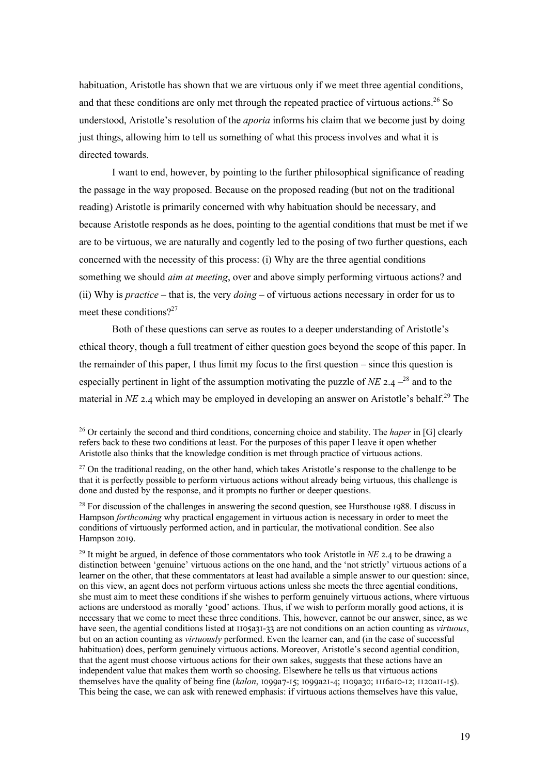habituation, Aristotle has shown that we are virtuous only if we meet three agential conditions, and that these conditions are only met through the repeated practice of virtuous actions.<sup>26</sup> So understood, Aristotle's resolution of the *aporia* informs his claim that we become just by doing just things, allowing him to tell us something of what this process involves and what it is directed towards.

I want to end, however, by pointing to the further philosophical significance of reading the passage in the way proposed. Because on the proposed reading (but not on the traditional reading) Aristotle is primarily concerned with why habituation should be necessary, and because Aristotle responds as he does, pointing to the agential conditions that must be met if we are to be virtuous, we are naturally and cogently led to the posing of two further questions, each concerned with the necessity of this process: (i) Why are the three agential conditions something we should *aim at meeting*, over and above simply performing virtuous actions? and (ii) Why is *practice* – that is, the very *doing* – of virtuous actions necessary in order for us to meet these conditions?<sup>27</sup>

Both of these questions can serve as routes to a deeper understanding of Aristotle's ethical theory, though a full treatment of either question goes beyond the scope of this paper. In the remainder of this paper, I thus limit my focus to the first question – since this question is especially pertinent in light of the assumption motivating the puzzle of  $NE$  2.4  $-$ <sup>28</sup> and to the material in *NE* 2.4 which may be employed in developing an answer on Aristotle's behalf.<sup>29</sup> The

<sup>26</sup> Or certainly the second and third conditions, concerning choice and stability. The *haper* in [G] clearly refers back to these two conditions at least. For the purposes of this paper I leave it open whether Aristotle also thinks that the knowledge condition is met through practice of virtuous actions.

 $27$  On the traditional reading, on the other hand, which takes Aristotle's response to the challenge to be that it is perfectly possible to perform virtuous actions without already being virtuous, this challenge is done and dusted by the response, and it prompts no further or deeper questions.

 $28$  For discussion of the challenges in answering the second question, see Hursthouse 1988. I discuss in Hampson *forthcoming* why practical engagement in virtuous action is necessary in order to meet the conditions of virtuously performed action, and in particular, the motivational condition. See also Hampson 2019.

<sup>&</sup>lt;sup>29</sup> It might be argued, in defence of those commentators who took Aristotle in *NE* 2.4 to be drawing a distinction between 'genuine' virtuous actions on the one hand, and the 'not strictly' virtuous actions of a learner on the other, that these commentators at least had available a simple answer to our question: since, on this view, an agent does not perform virtuous actions unless she meets the three agential conditions, she must aim to meet these conditions if she wishes to perform genuinely virtuous actions, where virtuous actions are understood as morally 'good' actions. Thus, if we wish to perform morally good actions, it is necessary that we come to meet these three conditions. This, however, cannot be our answer, since, as we have seen, the agential conditions listed at 1105a31-33 are not conditions on an action counting as *virtuous*, but on an action counting as *virtuously* performed. Even the learner can, and (in the case of successful habituation) does, perform genuinely virtuous actions. Moreover, Aristotle's second agential condition, that the agent must choose virtuous actions for their own sakes, suggests that these actions have an independent value that makes them worth so choosing. Elsewhere he tells us that virtuous actions themselves have the quality of being fine *(kalon*, 1099a7-15; 1099a21-4; 1109a30; 1116a10-12; 1120a11-15). This being the case, we can ask with renewed emphasis: if virtuous actions themselves have this value,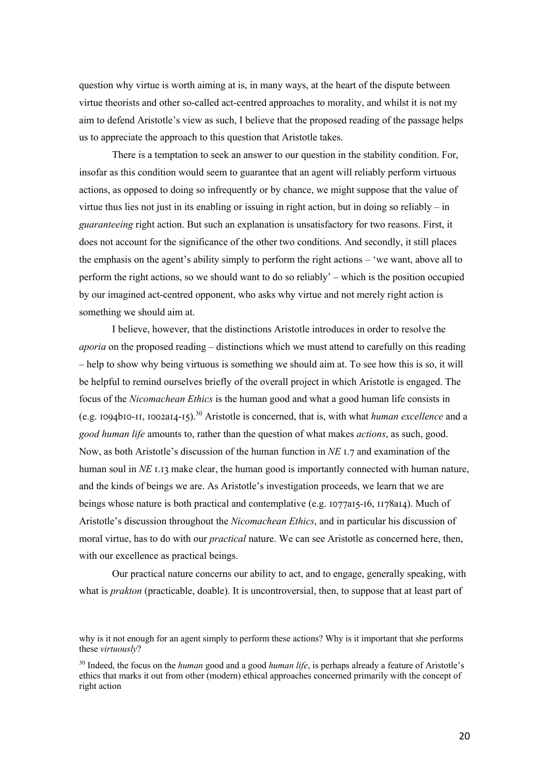question why virtue is worth aiming at is, in many ways, at the heart of the dispute between virtue theorists and other so-called act-centred approaches to morality, and whilst it is not my aim to defend Aristotle's view as such, I believe that the proposed reading of the passage helps us to appreciate the approach to this question that Aristotle takes.

There is a temptation to seek an answer to our question in the stability condition. For, insofar as this condition would seem to guarantee that an agent will reliably perform virtuous actions, as opposed to doing so infrequently or by chance, we might suppose that the value of virtue thus lies not just in its enabling or issuing in right action, but in doing so reliably – in *guaranteeing* right action. But such an explanation is unsatisfactory for two reasons. First, it does not account for the significance of the other two conditions. And secondly, it still places the emphasis on the agent's ability simply to perform the right actions – 'we want, above all to perform the right actions, so we should want to do so reliably' – which is the position occupied by our imagined act-centred opponent, who asks why virtue and not merely right action is something we should aim at.

I believe, however, that the distinctions Aristotle introduces in order to resolve the *aporia* on the proposed reading – distinctions which we must attend to carefully on this reading – help to show why being virtuous is something we should aim at. To see how this is so, it will be helpful to remind ourselves briefly of the overall project in which Aristotle is engaged. The focus of the *Nicomachean Ethics* is the human good and what a good human life consists in  $(e.g. 1094b10-II, 1002a14-I5).$ <sup>30</sup> Aristotle is concerned, that is, with what *human excellence* and a *good human life* amounts to, rather than the question of what makes *actions*, as such, good. Now, as both Aristotle's discussion of the human function in  $NE$  1.7 and examination of the human soul in  $NE$  I.13 make clear, the human good is importantly connected with human nature, and the kinds of beings we are. As Aristotle's investigation proceeds, we learn that we are beings whose nature is both practical and contemplative (e.g.  $1077aI5-I6$ ,  $1178aI4$ ). Much of Aristotle's discussion throughout the *Nicomachean Ethics*, and in particular his discussion of moral virtue, has to do with our *practical* nature. We can see Aristotle as concerned here, then, with our excellence as practical beings.

Our practical nature concerns our ability to act, and to engage, generally speaking, with what is *prakton* (practicable, doable). It is uncontroversial, then, to suppose that at least part of

why is it not enough for an agent simply to perform these actions? Why is it important that she performs these *virtuously*?

<sup>30</sup> Indeed, the focus on the *human* good and a good *human life*, is perhaps already a feature of Aristotle's ethics that marks it out from other (modern) ethical approaches concerned primarily with the concept of right action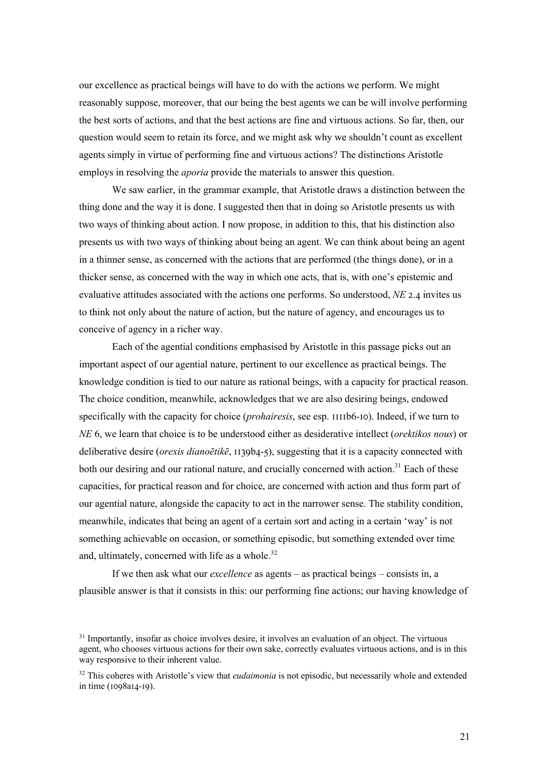our excellence as practical beings will have to do with the actions we perform. We might reasonably suppose, moreover, that our being the best agents we can be will involve performing the best sorts of actions, and that the best actions are fine and virtuous actions. So far, then, our question would seem to retain its force, and we might ask why we shouldn't count as excellent agents simply in virtue of performing fine and virtuous actions? The distinctions Aristotle employs in resolving the *aporia* provide the materials to answer this question.

We saw earlier, in the grammar example, that Aristotle draws a distinction between the thing done and the way it is done. I suggested then that in doing so Aristotle presents us with two ways of thinking about action. I now propose, in addition to this, that his distinction also presents us with two ways of thinking about being an agent. We can think about being an agent in a thinner sense, as concerned with the actions that are performed (the things done), or in a thicker sense, as concerned with the way in which one acts, that is, with one's epistemic and evaluative attitudes associated with the actions one performs. So understood, *NE* 2.4 invites us to think not only about the nature of action, but the nature of agency, and encourages us to conceive of agency in a richer way.

Each of the agential conditions emphasised by Aristotle in this passage picks out an important aspect of our agential nature, pertinent to our excellence as practical beings. The knowledge condition is tied to our nature as rational beings, with a capacity for practical reason. The choice condition, meanwhile, acknowledges that we are also desiring beings, endowed specifically with the capacity for choice (*prohairesis*, see esp.  $\overline{\text{III1b6-10}}$ ). Indeed, if we turn to *NE* 6, we learn that choice is to be understood either as desiderative intellect (*orektikos nous*) or deliberative desire (*orexis dianoētikē*,  $\overline{I}$  139b4-5), suggesting that it is a capacity connected with both our desiring and our rational nature, and crucially concerned with action.<sup>31</sup> Each of these capacities, for practical reason and for choice, are concerned with action and thus form part of our agential nature, alongside the capacity to act in the narrower sense. The stability condition, meanwhile, indicates that being an agent of a certain sort and acting in a certain 'way' is not something achievable on occasion, or something episodic, but something extended over time and, ultimately, concerned with life as a whole.<sup>32</sup>

If we then ask what our *excellence* as agents – as practical beings – consists in, a plausible answer is that it consists in this: our performing fine actions; our having knowledge of

<sup>&</sup>lt;sup>31</sup> Importantly, insofar as choice involves desire, it involves an evaluation of an object. The virtuous agent, who chooses virtuous actions for their own sake, correctly evaluates virtuous actions, and is in this way responsive to their inherent value.

<sup>32</sup> This coheres with Aristotle's view that *eudaimonia* is not episodic, but necessarily whole and extended in time ( $1098aI4-I9$ ).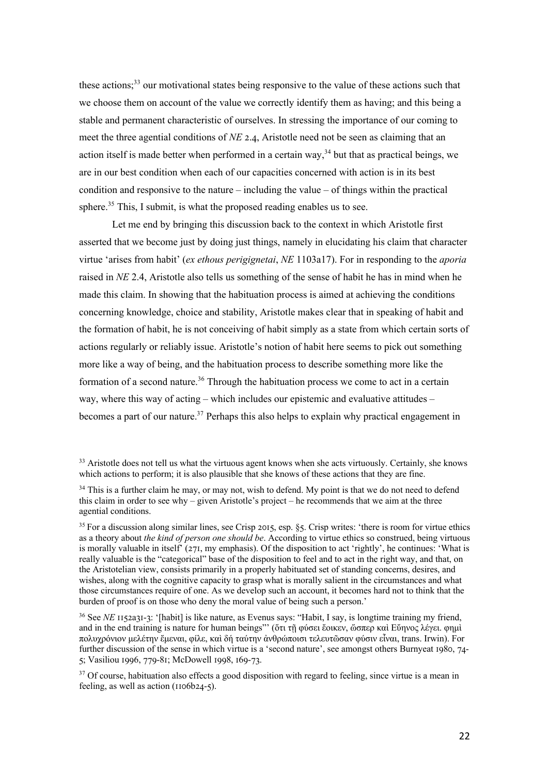these actions;<sup>33</sup> our motivational states being responsive to the value of these actions such that we choose them on account of the value we correctly identify them as having; and this being a stable and permanent characteristic of ourselves. In stressing the importance of our coming to meet the three agential conditions of *NE* 2.4, Aristotle need not be seen as claiming that an action itself is made better when performed in a certain way,<sup>34</sup> but that as practical beings, we are in our best condition when each of our capacities concerned with action is in its best condition and responsive to the nature – including the value – of things within the practical sphere.<sup>35</sup> This, I submit, is what the proposed reading enables us to see.

Let me end by bringing this discussion back to the context in which Aristotle first asserted that we become just by doing just things, namely in elucidating his claim that character virtue 'arises from habit' (*ex ethous perigignetai*, *NE* 1103a17). For in responding to the *aporia*  raised in *NE* 2.4, Aristotle also tells us something of the sense of habit he has in mind when he made this claim. In showing that the habituation process is aimed at achieving the conditions concerning knowledge, choice and stability, Aristotle makes clear that in speaking of habit and the formation of habit, he is not conceiving of habit simply as a state from which certain sorts of actions regularly or reliably issue. Aristotle's notion of habit here seems to pick out something more like a way of being, and the habituation process to describe something more like the formation of a second nature.<sup>36</sup> Through the habituation process we come to act in a certain way, where this way of acting – which includes our epistemic and evaluative attitudes – becomes a part of our nature.<sup>37</sup> Perhaps this also helps to explain why practical engagement in

<sup>&</sup>lt;sup>33</sup> Aristotle does not tell us what the virtuous agent knows when she acts virtuously. Certainly, she knows which actions to perform; it is also plausible that she knows of these actions that they are fine.

 $34$  This is a further claim he may, or may not, wish to defend. My point is that we do not need to defend this claim in order to see why – given Aristotle's project – he recommends that we aim at the three agential conditions.

<sup>&</sup>lt;sup>35</sup> For a discussion along similar lines, see Crisp 2015, esp. §5. Crisp writes: 'there is room for virtue ethics as a theory about *the kind of person one should be*. According to virtue ethics so construed, being virtuous is morally valuable in itself'  $(27I, my emphasis)$ . Of the disposition to act 'rightly', he continues: 'What is really valuable is the "categorical" base of the disposition to feel and to act in the right way, and that, on the Aristotelian view, consists primarily in a properly habituated set of standing concerns, desires, and wishes, along with the cognitive capacity to grasp what is morally salient in the circumstances and what those circumstances require of one. As we develop such an account, it becomes hard not to think that the burden of proof is on those who deny the moral value of being such a person.'

<sup>&</sup>lt;sup>36</sup> See *NE* 1152a31-3: '[habit] is like nature, as Evenus says: "Habit, I say, is longtime training my friend, and in the end training is nature for human beings"' (ὅτι τῇ φύσει ἔοικεν, ὥσπερ καὶ Εὔηνος λέγει. φημὶ πολυχρόνιον μελέτην ἔμεναι, φίλε, καὶ δή ταύτην ἀνθρώποισι τελευτῶσαν φύσιν εἶναι, trans. Irwin). For further discussion of the sense in which virtue is a 'second nature', see amongst others Burnyeat  $1980, 74$ -5; Vasiliou 1996, 779-81; McDowell 1998, 169-73.

<sup>&</sup>lt;sup>37</sup> Of course, habituation also effects a good disposition with regard to feeling, since virtue is a mean in feeling, as well as action ( $1106b24-5$ ).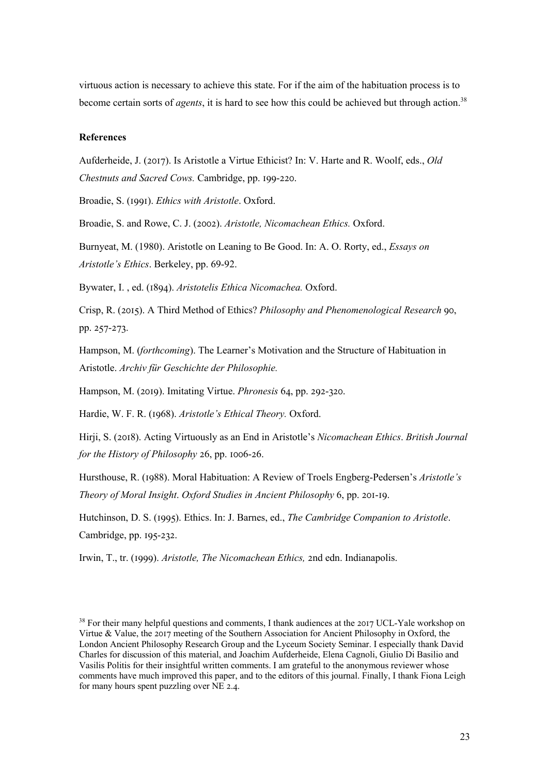virtuous action is necessary to achieve this state. For if the aim of the habituation process is to become certain sorts of *agents*, it is hard to see how this could be achieved but through action.<sup>38</sup>

## **References**

Aufderheide, J. (2017). Is Aristotle a Virtue Ethicist? In: V. Harte and R. Woolf, eds., *Old Chestnuts and Sacred Cows. Cambridge, pp. 199-220.* 

Broadie, S. (1991). *Ethics with Aristotle*. Oxford.

Broadie, S. and Rowe, C. J. (2002). *Aristotle, Nicomachean Ethics.* Oxford.

Burnyeat, M. (1980). Aristotle on Leaning to Be Good. In: A. O. Rorty, ed., *Essays on Aristotle's Ethics*. Berkeley, pp. 69-92.

Bywater, I. , ed. (\hkF). *Aristotelis Ethica Nicomachea.* Oxford.

Crisp, R. (2015). A Third Method of Ethics? *Philosophy and Phenomenological Research* 90, pp. 257-273.

Hampson, M. (*forthcoming*). The Learner's Motivation and the Structure of Habituation in Aristotle. *Archiv für Geschichte der Philosophie.* 

Hampson, M. (2019). Imitating Virtue. *Phronesis* 64, pp. 292-320.

Hardie, W. F. R. (\klh). *Aristotle's Ethical Theory.* Oxford.

Hirji, S. (2018). Acting Virtuously as an End in Aristotle's *Nicomachean Ethics*. *British Journal for the History of Philosophy* 26, pp. 1006-26.

Hursthouse, R. (1988). Moral Habituation: A Review of Troels Engberg-Pedersen's *Aristotle's Theory of Moral Insight. Oxford Studies in Ancient Philosophy* 6, pp. 201-19.

Hutchinson, D. S. (1995). Ethics. In: J. Barnes, ed., *The Cambridge Companion to Aristotle*. Cambridge, pp. 195-232.

Irwin, T., tr. (1999). *Aristotle, The Nicomachean Ethics, 2nd edn. Indianapolis.* 

<sup>&</sup>lt;sup>38</sup> For their many helpful questions and comments, I thank audiences at the 2017 UCL-Yale workshop on Virtue & Value, the 2017 meeting of the Southern Association for Ancient Philosophy in Oxford, the London Ancient Philosophy Research Group and the Lyceum Society Seminar. I especially thank David Charles for discussion of this material, and Joachim Aufderheide, Elena Cagnoli, Giulio Di Basilio and Vasilis Politis for their insightful written comments. I am grateful to the anonymous reviewer whose comments have much improved this paper, and to the editors of this journal. Finally, I thank Fiona Leigh for many hours spent puzzling over  $NE$  2.4.